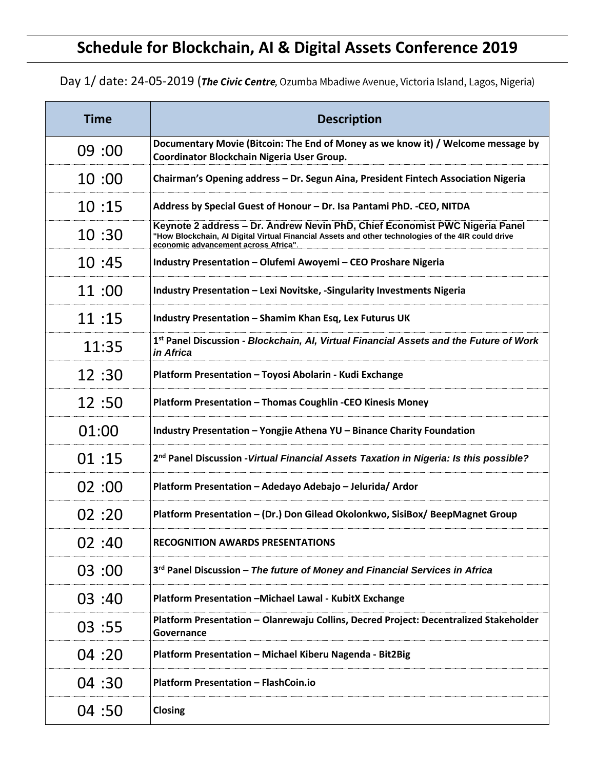# **Schedule for Blockchain, AI & Digital Assets Conference 2019**

Day 1/ date: 24-05-2019 (The Civic Centre, Ozumba Mbadiwe Avenue, Victoria Island, Lagos, Nigeria)

| <b>Time</b> | <b>Description</b>                                                                                                                                                                                                       |
|-------------|--------------------------------------------------------------------------------------------------------------------------------------------------------------------------------------------------------------------------|
| 09:00       | Documentary Movie (Bitcoin: The End of Money as we know it) / Welcome message by<br>Coordinator Blockchain Nigeria User Group.                                                                                           |
| 10:00       | Chairman's Opening address - Dr. Segun Aina, President Fintech Association Nigeria                                                                                                                                       |
| 10:15       | Address by Special Guest of Honour - Dr. Isa Pantami PhD. - CEO, NITDA                                                                                                                                                   |
| 10:30       | Keynote 2 address - Dr. Andrew Nevin PhD, Chief Economist PWC Nigeria Panel<br>"How Blockchain, Al Digital Virtual Financial Assets and other technologies of the 4IR could drive<br>economic advancement across Africa" |
| 10:45       | Industry Presentation - Olufemi Awoyemi - CEO Proshare Nigeria                                                                                                                                                           |
| 11:00       | Industry Presentation - Lexi Novitske, -Singularity Investments Nigeria                                                                                                                                                  |
| 11:15       | Industry Presentation - Shamim Khan Esq, Lex Futurus UK                                                                                                                                                                  |
| 11:35       | 1st Panel Discussion - Blockchain, AI, Virtual Financial Assets and the Future of Work<br><i>in Africa</i>                                                                                                               |
| 12:30       | Platform Presentation - Toyosi Abolarin - Kudi Exchange                                                                                                                                                                  |
| 12:50       | Platform Presentation - Thomas Coughlin -CEO Kinesis Money                                                                                                                                                               |
| 01:00       | Industry Presentation - Yongjie Athena YU - Binance Charity Foundation                                                                                                                                                   |
| 01:15       | 2 <sup>nd</sup> Panel Discussion - Virtual Financial Assets Taxation in Nigeria: Is this possible?                                                                                                                       |
| 02:00       | Platform Presentation - Adedayo Adebajo - Jelurida/ Ardor                                                                                                                                                                |
| 02:20       | Platform Presentation - (Dr.) Don Gilead Okolonkwo, SisiBox/ BeepMagnet Group                                                                                                                                            |
| 02:40       | <b>RECOGNITION AWARDS PRESENTATIONS</b>                                                                                                                                                                                  |
| 03:00       | 3rd Panel Discussion - The future of Money and Financial Services in Africa                                                                                                                                              |
| 03:40       | Platform Presentation - Michael Lawal - KubitX Exchange                                                                                                                                                                  |
| 03:55       | Platform Presentation - Olanrewaju Collins, Decred Project: Decentralized Stakeholder<br>Governance                                                                                                                      |
| 04:20       | Platform Presentation - Michael Kiberu Nagenda - Bit2Big                                                                                                                                                                 |
| 04:30       | <b>Platform Presentation - FlashCoin.io</b>                                                                                                                                                                              |
| 04:50       | Closing                                                                                                                                                                                                                  |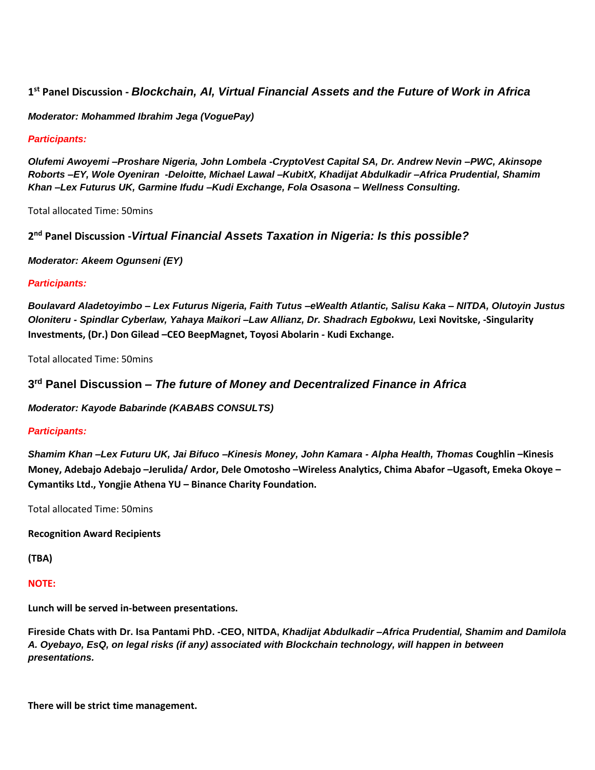**1 st Panel Discussion -** *Blockchain, AI, Virtual Financial Assets and the Future of Work in Africa*

*Moderator: Mohammed Ibrahim Jega (VoguePay)*

#### *Participants:*

*Olufemi Awoyemi –Proshare Nigeria, John Lombela -CryptoVest Capital SA, Dr. Andrew Nevin –PWC, Akinsope Roborts –EY, Wole Oyeniran -Deloitte, Michael Lawal –KubitX, Khadijat Abdulkadir –Africa Prudential, Shamim Khan –Lex Futurus UK, Garmine Ifudu –Kudi Exchange, Fola Osasona – Wellness Consulting.*

Total allocated Time: 50mins

**2 nd Panel Discussion -***Virtual Financial Assets Taxation in Nigeria: Is this possible?*

*Moderator: Akeem Ogunseni (EY)*

#### *Participants:*

*Boulavard Aladetoyimbo – Lex Futurus Nigeria, Faith Tutus –eWealth Atlantic, Salisu Kaka – NITDA, Olutoyin Justus Oloniteru - Spindlar Cyberlaw, Yahaya Maikori –Law Allianz, Dr. Shadrach Egbokwu,* **Lexi Novitske, -Singularity Investments, (Dr.) Don Gilead –CEO BeepMagnet, Toyosi Abolarin - Kudi Exchange.**

Total allocated Time: 50mins

### **3 rd Panel Discussion –** *The future of Money and Decentralized Finance in Africa*

### *Moderator: Kayode Babarinde (KABABS CONSULTS)*

### *Participants:*

*Shamim Khan –Lex Futuru UK, Jai Bifuco –Kinesis Money, John Kamara - Alpha Health, Thomas* **Coughlin –Kinesis Money, Adebajo Adebajo –Jerulida/ Ardor, Dele Omotosho –Wireless Analytics, Chima Abafor –Ugasoft, Emeka Okoye – Cymantiks Ltd., Yongjie Athena YU – Binance Charity Foundation.**

Total allocated Time: 50mins

**Recognition Award Recipients**

**(TBA)**

#### **NOTE:**

**Lunch will be served in-between presentations.**

**Fireside Chats with Dr. Isa Pantami PhD. -CEO, NITDA,** *Khadijat Abdulkadir –Africa Prudential, Shamim and Damilola A. Oyebayo, EsQ, on legal risks (if any) associated with Blockchain technology, will happen in between presentations.*

**There will be strict time management.**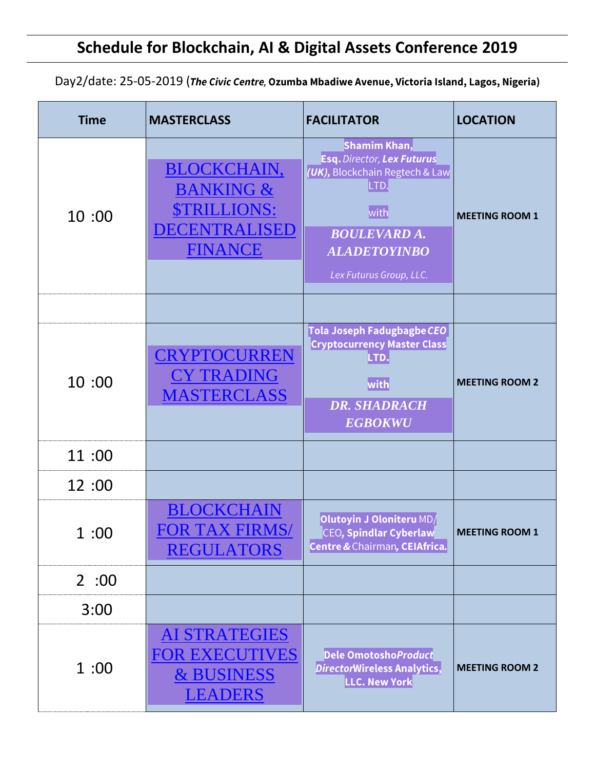# **Schedule for Blockchain, AI & Digital Assets Conference 2019**

Day2/date: 25-05-2019 (The Civic Centre, Ozumba Mbadiwe Avenue, Victoria Island, Lagos, Nigeria)

| <b>Time</b> | <b>MASTERCLASS</b>                                                                                                | <b>FACILITATOR</b>                                                                                                                                                           | <b>LOCATION</b>       |
|-------------|-------------------------------------------------------------------------------------------------------------------|------------------------------------------------------------------------------------------------------------------------------------------------------------------------------|-----------------------|
| 10:00       | <b>BLOCKCHAIN,</b><br><b>BANKING &amp;</b><br><b><i><u>STRILLIONS:</u></i></b><br>DECENTRALISED<br><b>FINANCE</b> | Shamim Khan,<br><b>Esq. Director, Lex Futurus</b><br>(UK), Blockchain Regtech & Law<br>LTD.<br>with<br><b>BOULEVARD A.</b><br><b>ALADETOYINBO</b><br>Lex Futurus Group, LLC. | <b>MEETING ROOM 1</b> |
|             |                                                                                                                   |                                                                                                                                                                              |                       |
| 10:00       | <b>CRYPTOCURREN</b><br><b>CY TRADING</b><br><b>MASTERCLASS</b>                                                    | Tola Joseph Fadugbagbe CEO<br><b>Cryptocurrency Master Class</b><br>LTD.<br>with<br><b>DR. SHADRACH</b><br><b>EGBOKWU</b>                                                    | <b>MEETING ROOM 2</b> |
| 11:00       |                                                                                                                   |                                                                                                                                                                              |                       |
| 12:00       |                                                                                                                   |                                                                                                                                                                              |                       |
| 1 :00       | <b>BLOCKCHAIN</b><br>FOR TAX FIRMS/<br><b>REGULATORS</b>                                                          | Olutoyin J Oloniteru MD/<br>CEO <b>, Spindlar Cyberlaw</b><br><b>Centre &amp; Chairman, CEIAfrica.</b>                                                                       | <b>MEETING ROOM 1</b> |
| 2:00        |                                                                                                                   |                                                                                                                                                                              |                       |
| 3:00        |                                                                                                                   |                                                                                                                                                                              |                       |
| 1:00        | <b>AI STRATEGIES</b><br><b>FOR EXECUTIVES</b><br><b>&amp; BUSINESS</b><br><b>LEADERS</b>                          | Dele OmotoshoProduct<br>DirectorWireless Analytics,<br><b>LLC. New York</b>                                                                                                  | <b>MEETING ROOM 2</b> |